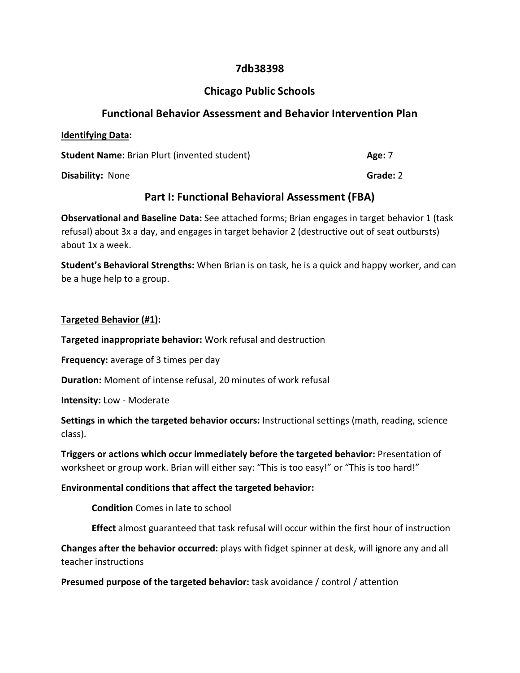# **7db38398**

# **Chicago Public Schools**

#### **Functional Behavior Assessment and Behavior Intervention Plan**

| <b>Identifying Data:</b>                            |          |
|-----------------------------------------------------|----------|
| <b>Student Name: Brian Plurt (invented student)</b> | Age: 7   |
| <b>Disability: None</b>                             | Grade: 2 |

## **Part I: Functional Behavioral Assessment (FBA)**

**Observational and Baseline Data:** See attached forms; Brian engages in target behavior 1 (task refusal) about 3x a day, and engages in target behavior 2 (destructive out of seat outbursts) about 1x a week.

**Student's Behavioral Strengths:** When Brian is on task, he is a quick and happy worker, and can be a huge help to a group.

#### **Targeted Behavior (#1):**

**Targeted inappropriate behavior:** Work refusal and destruction

**Frequency:** average of 3 times per day

**Duration:** Moment of intense refusal, 20 minutes of work refusal

**Intensity:** Low - Moderate

**Settings in which the targeted behavior occurs:** Instructional settings (math, reading, science class).

**Triggers or actions which occur immediately before the targeted behavior:** Presentation of worksheet or group work. Brian will either say: "This is too easy!" or "This is too hard!"

#### **Environmental conditions that affect the targeted behavior:**

**Condition** Comes in late to school

**Effect** almost guaranteed that task refusal will occur within the first hour of instruction

**Changes after the behavior occurred:** plays with fidget spinner at desk, will ignore any and all teacher instructions

**Presumed purpose of the targeted behavior:** task avoidance / control / attention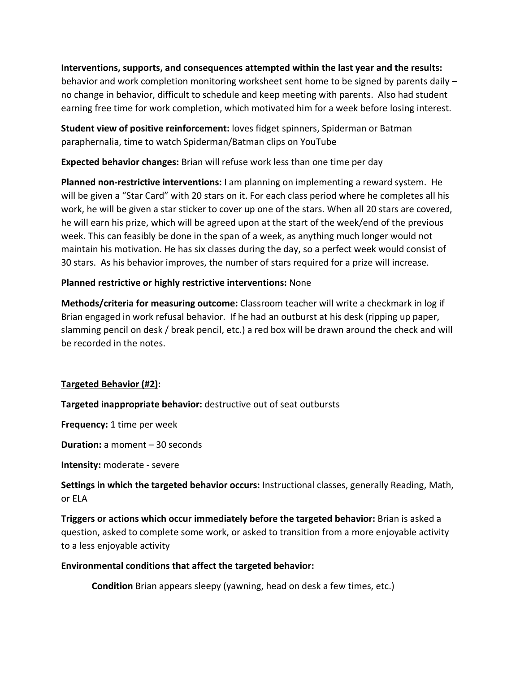**Interventions, supports, and consequences attempted within the last year and the results:** behavior and work completion monitoring worksheet sent home to be signed by parents daily – no change in behavior, difficult to schedule and keep meeting with parents. Also had student earning free time for work completion, which motivated him for a week before losing interest.

**Student view of positive reinforcement:** loves fidget spinners, Spiderman or Batman paraphernalia, time to watch Spiderman/Batman clips on YouTube

**Expected behavior changes:** Brian will refuse work less than one time per day

**Planned non-restrictive interventions:** I am planning on implementing a reward system. He will be given a "Star Card" with 20 stars on it. For each class period where he completes all his work, he will be given a star sticker to cover up one of the stars. When all 20 stars are covered, he will earn his prize, which will be agreed upon at the start of the week/end of the previous week. This can feasibly be done in the span of a week, as anything much longer would not maintain his motivation. He has six classes during the day, so a perfect week would consist of 30 stars. As his behavior improves, the number of stars required for a prize will increase.

## **Planned restrictive or highly restrictive interventions:** None

**Methods/criteria for measuring outcome:** Classroom teacher will write a checkmark in log if Brian engaged in work refusal behavior. If he had an outburst at his desk (ripping up paper, slamming pencil on desk / break pencil, etc.) a red box will be drawn around the check and will be recorded in the notes.

# **Targeted Behavior (#2):**

**Targeted inappropriate behavior:** destructive out of seat outbursts

**Frequency:** 1 time per week

**Duration:** a moment – 30 seconds

**Intensity:** moderate - severe

**Settings in which the targeted behavior occurs:** Instructional classes, generally Reading, Math, or ELA

**Triggers or actions which occur immediately before the targeted behavior:** Brian is asked a question, asked to complete some work, or asked to transition from a more enjoyable activity to a less enjoyable activity

#### **Environmental conditions that affect the targeted behavior:**

**Condition** Brian appears sleepy (yawning, head on desk a few times, etc.)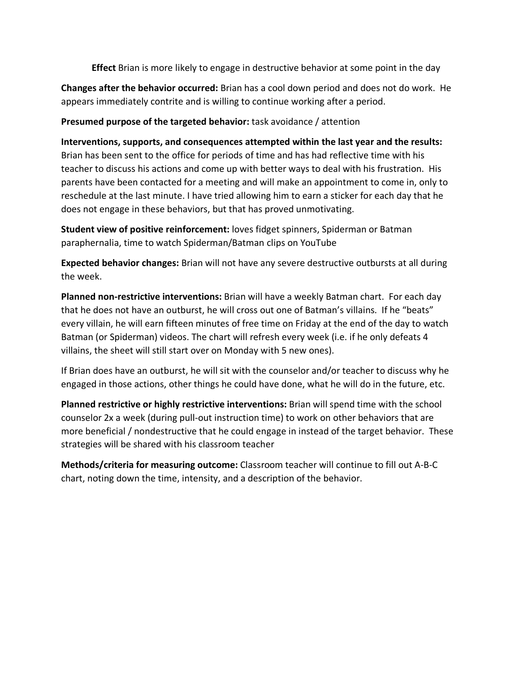**Effect** Brian is more likely to engage in destructive behavior at some point in the day

**Changes after the behavior occurred:** Brian has a cool down period and does not do work. He appears immediately contrite and is willing to continue working after a period.

#### **Presumed purpose of the targeted behavior:** task avoidance / attention

**Interventions, supports, and consequences attempted within the last year and the results:** Brian has been sent to the office for periods of time and has had reflective time with his teacher to discuss his actions and come up with better ways to deal with his frustration. His parents have been contacted for a meeting and will make an appointment to come in, only to reschedule at the last minute. I have tried allowing him to earn a sticker for each day that he does not engage in these behaviors, but that has proved unmotivating.

**Student view of positive reinforcement:** loves fidget spinners, Spiderman or Batman paraphernalia, time to watch Spiderman/Batman clips on YouTube

**Expected behavior changes:** Brian will not have any severe destructive outbursts at all during the week.

**Planned non-restrictive interventions:** Brian will have a weekly Batman chart. For each day that he does not have an outburst, he will cross out one of Batman's villains. If he "beats" every villain, he will earn fifteen minutes of free time on Friday at the end of the day to watch Batman (or Spiderman) videos. The chart will refresh every week (i.e. if he only defeats 4 villains, the sheet will still start over on Monday with 5 new ones).

If Brian does have an outburst, he will sit with the counselor and/or teacher to discuss why he engaged in those actions, other things he could have done, what he will do in the future, etc.

**Planned restrictive or highly restrictive interventions:** Brian will spend time with the school counselor 2x a week (during pull-out instruction time) to work on other behaviors that are more beneficial / nondestructive that he could engage in instead of the target behavior. These strategies will be shared with his classroom teacher

**Methods/criteria for measuring outcome:** Classroom teacher will continue to fill out A-B-C chart, noting down the time, intensity, and a description of the behavior.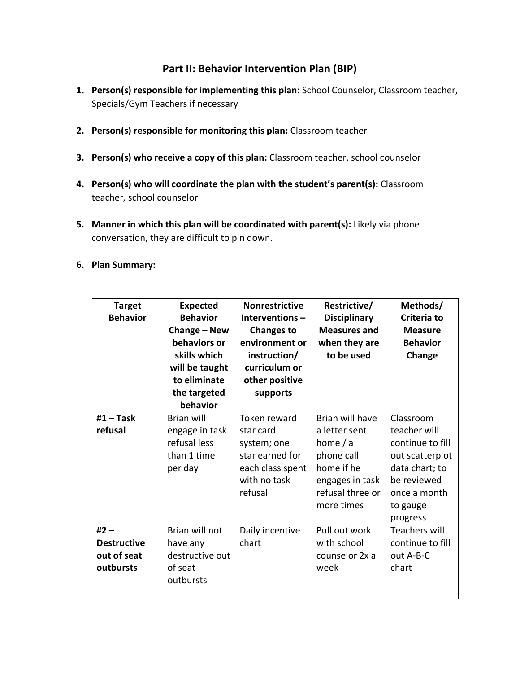# **Part II: Behavior Intervention Plan (BIP)**

- **1. Person(s) responsible for implementing this plan:** School Counselor, Classroom teacher, Specials/Gym Teachers if necessary
- **2. Person(s) responsible for monitoring this plan:** Classroom teacher
- **3. Person(s) who receive a copy of this plan:** Classroom teacher, school counselor
- **4. Person(s) who will coordinate the plan with the student's parent(s):** Classroom teacher, school counselor
- **5. Manner in which this plan will be coordinated with parent(s):** Likely via phone conversation, they are difficult to pin down.
- **6. Plan Summary:**

| <b>Target</b><br><b>Behavior</b>                         | <b>Expected</b><br><b>Behavior</b><br>Change - New<br>behaviors or<br>skills which<br>will be taught<br>to eliminate<br>the targeted<br>behavior | <b>Nonrestrictive</b><br>Interventions $-$<br><b>Changes to</b><br>environment or<br>instruction/<br>curriculum or<br>other positive<br>supports | Restrictive/<br><b>Disciplinary</b><br><b>Measures and</b><br>when they are<br>to be used                                       | Methods/<br>Criteria to<br><b>Measure</b><br><b>Behavior</b><br>Change                                                                    |
|----------------------------------------------------------|--------------------------------------------------------------------------------------------------------------------------------------------------|--------------------------------------------------------------------------------------------------------------------------------------------------|---------------------------------------------------------------------------------------------------------------------------------|-------------------------------------------------------------------------------------------------------------------------------------------|
| $#1$ – Task<br>refusal                                   | <b>Brian will</b><br>engage in task<br>refusal less<br>than 1 time<br>per day                                                                    | Token reward<br>star card<br>system; one<br>star earned for<br>each class spent<br>with no task<br>refusal                                       | Brian will have<br>a letter sent<br>home $/ a$<br>phone call<br>home if he<br>engages in task<br>refusal three or<br>more times | Classroom<br>teacher will<br>continue to fill<br>out scatterplot<br>data chart; to<br>be reviewed<br>once a month<br>to gauge<br>progress |
| $#2 -$<br><b>Destructive</b><br>out of seat<br>outbursts | Brian will not<br>have any<br>destructive out<br>of seat<br>outbursts                                                                            | Daily incentive<br>chart                                                                                                                         | Pull out work<br>with school<br>counselor 2x a<br>week                                                                          | <b>Teachers will</b><br>continue to fill<br>out A-B-C<br>chart                                                                            |